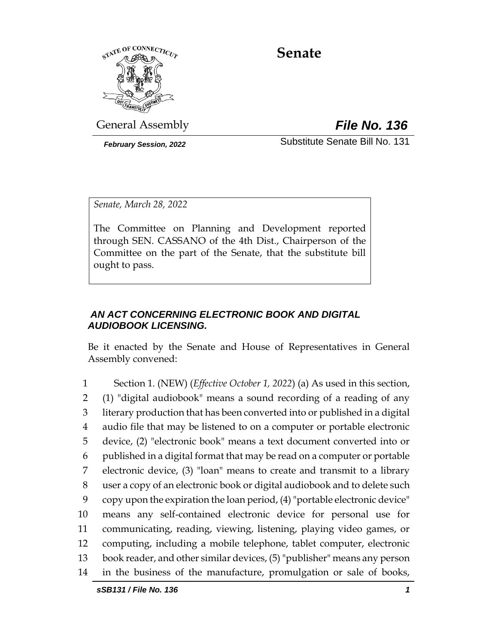

# **Senate**

General Assembly *File No. 136*

*February Session, 2022* Substitute Senate Bill No. 131

*Senate, March 28, 2022*

The Committee on Planning and Development reported through SEN. CASSANO of the 4th Dist., Chairperson of the Committee on the part of the Senate, that the substitute bill ought to pass.

## *AN ACT CONCERNING ELECTRONIC BOOK AND DIGITAL AUDIOBOOK LICENSING.*

Be it enacted by the Senate and House of Representatives in General Assembly convened:

 Section 1. (NEW) (*Effective October 1, 2022*) (a) As used in this section, (1) "digital audiobook" means a sound recording of a reading of any literary production that has been converted into or published in a digital audio file that may be listened to on a computer or portable electronic device, (2) "electronic book" means a text document converted into or published in a digital format that may be read on a computer or portable electronic device, (3) "loan" means to create and transmit to a library user a copy of an electronic book or digital audiobook and to delete such copy upon the expiration the loan period, (4) "portable electronic device" means any self-contained electronic device for personal use for communicating, reading, viewing, listening, playing video games, or computing, including a mobile telephone, tablet computer, electronic book reader, and other similar devices, (5) "publisher" means any person in the business of the manufacture, promulgation or sale of books,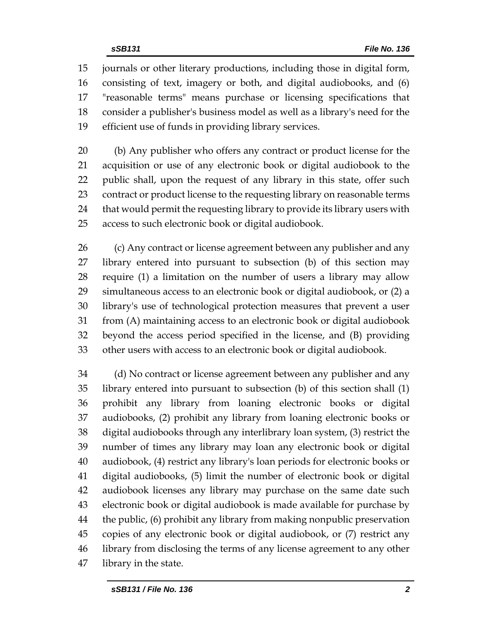journals or other literary productions, including those in digital form, consisting of text, imagery or both, and digital audiobooks, and (6) "reasonable terms" means purchase or licensing specifications that consider a publisher's business model as well as a library's need for the efficient use of funds in providing library services.

 (b) Any publisher who offers any contract or product license for the acquisition or use of any electronic book or digital audiobook to the public shall, upon the request of any library in this state, offer such contract or product license to the requesting library on reasonable terms that would permit the requesting library to provide its library users with access to such electronic book or digital audiobook.

 (c) Any contract or license agreement between any publisher and any library entered into pursuant to subsection (b) of this section may require (1) a limitation on the number of users a library may allow simultaneous access to an electronic book or digital audiobook, or (2) a library's use of technological protection measures that prevent a user from (A) maintaining access to an electronic book or digital audiobook beyond the access period specified in the license, and (B) providing other users with access to an electronic book or digital audiobook.

 (d) No contract or license agreement between any publisher and any library entered into pursuant to subsection (b) of this section shall (1) prohibit any library from loaning electronic books or digital audiobooks, (2) prohibit any library from loaning electronic books or digital audiobooks through any interlibrary loan system, (3) restrict the number of times any library may loan any electronic book or digital audiobook, (4) restrict any library's loan periods for electronic books or digital audiobooks, (5) limit the number of electronic book or digital audiobook licenses any library may purchase on the same date such electronic book or digital audiobook is made available for purchase by the public, (6) prohibit any library from making nonpublic preservation copies of any electronic book or digital audiobook, or (7) restrict any library from disclosing the terms of any license agreement to any other library in the state.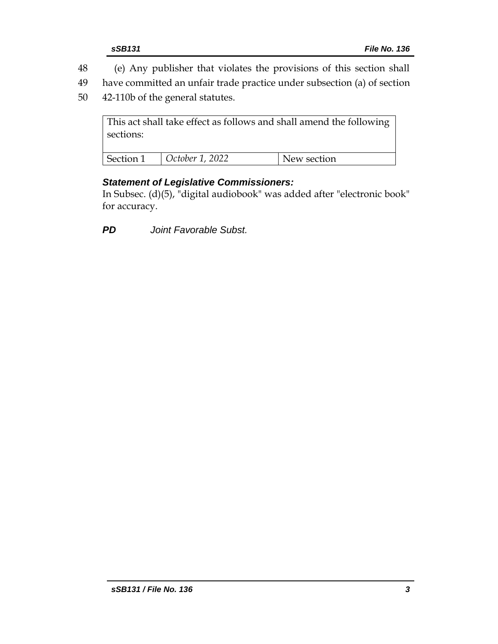- 48 (e) Any publisher that violates the provisions of this section shall
- 49 have committed an unfair trade practice under subsection (a) of section
- 50 42-110b of the general statutes.

This act shall take effect as follows and shall amend the following sections: Section 1 *October 1, 2022* New section

## *Statement of Legislative Commissioners:*

In Subsec. (d)(5), "digital audiobook" was added after "electronic book" for accuracy.

*PD Joint Favorable Subst.*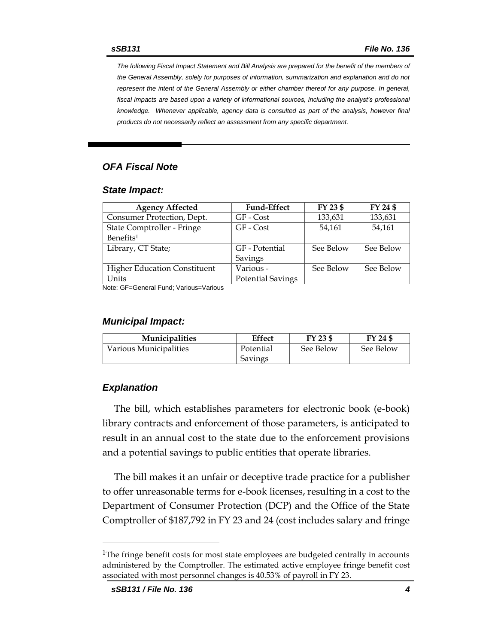*The following Fiscal Impact Statement and Bill Analysis are prepared for the benefit of the members of the General Assembly, solely for purposes of information, summarization and explanation and do not represent the intent of the General Assembly or either chamber thereof for any purpose. In general,*  fiscal impacts are based upon a variety of informational sources, including the analyst's professional *knowledge. Whenever applicable, agency data is consulted as part of the analysis, however final products do not necessarily reflect an assessment from any specific department.*

#### *OFA Fiscal Note*

#### *State Impact:*

| <b>Agency Affected</b>              | <b>Fund-Effect</b>       | FY 23 \$  | FY 24 \$  |
|-------------------------------------|--------------------------|-----------|-----------|
| Consumer Protection, Dept.          | GF - Cost                | 133,631   | 133,631   |
| State Comptroller - Fringe          | GF - Cost                | 54.161    | 54,161    |
| Benefits <sup>1</sup>               |                          |           |           |
| Library, CT State;                  | GF - Potential           | See Below | See Below |
|                                     | Savings                  |           |           |
| <b>Higher Education Constituent</b> | Various -                | See Below | See Below |
| Units                               | <b>Potential Savings</b> |           |           |

Note: GF=General Fund; Various=Various

#### *Municipal Impact:*

| <b>Municipalities</b>  | Effect    | FY 23 \$  | FY 24 \$  |
|------------------------|-----------|-----------|-----------|
| Various Municipalities | Potential | See Below | See Below |
|                        | Savings   |           |           |

#### *Explanation*

The bill, which establishes parameters for electronic book (e-book) library contracts and enforcement of those parameters, is anticipated to result in an annual cost to the state due to the enforcement provisions and a potential savings to public entities that operate libraries.

The bill makes it an unfair or deceptive trade practice for a publisher to offer unreasonable terms for e-book licenses, resulting in a cost to the Department of Consumer Protection (DCP) and the Office of the State Comptroller of \$187,792 in FY 23 and 24 (cost includes salary and fringe

<sup>&</sup>lt;sup>1</sup>The fringe benefit costs for most state employees are budgeted centrally in accounts administered by the Comptroller. The estimated active employee fringe benefit cost associated with most personnel changes is 40.53% of payroll in FY 23.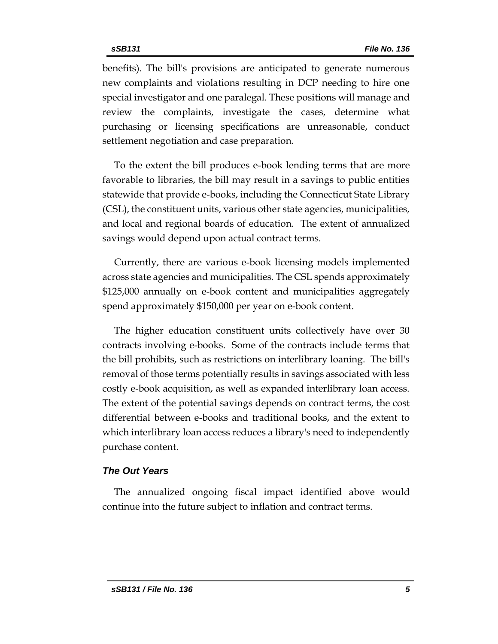benefits). The bill's provisions are anticipated to generate numerous new complaints and violations resulting in DCP needing to hire one special investigator and one paralegal. These positions will manage and review the complaints, investigate the cases, determine what purchasing or licensing specifications are unreasonable, conduct settlement negotiation and case preparation.

To the extent the bill produces e-book lending terms that are more favorable to libraries, the bill may result in a savings to public entities statewide that provide e-books, including the Connecticut State Library (CSL), the constituent units, various other state agencies, municipalities, and local and regional boards of education. The extent of annualized savings would depend upon actual contract terms.

Currently, there are various e-book licensing models implemented across state agencies and municipalities. The CSL spends approximately \$125,000 annually on e-book content and municipalities aggregately spend approximately \$150,000 per year on e-book content.

The higher education constituent units collectively have over 30 contracts involving e-books. Some of the contracts include terms that the bill prohibits, such as restrictions on interlibrary loaning. The bill's removal of those terms potentially results in savings associated with less costly e-book acquisition, as well as expanded interlibrary loan access. The extent of the potential savings depends on contract terms, the cost differential between e-books and traditional books, and the extent to which interlibrary loan access reduces a library's need to independently purchase content.

#### *The Out Years*

The annualized ongoing fiscal impact identified above would continue into the future subject to inflation and contract terms.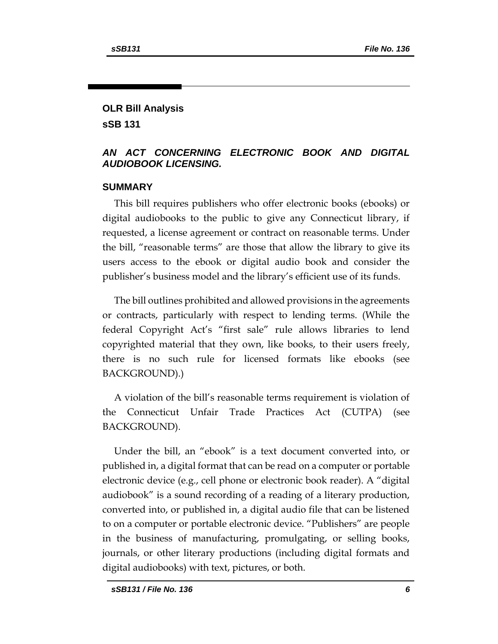## **OLR Bill Analysis sSB 131**

## *AN ACT CONCERNING ELECTRONIC BOOK AND DIGITAL AUDIOBOOK LICENSING.*

## **SUMMARY**

This bill requires publishers who offer electronic books (ebooks) or digital audiobooks to the public to give any Connecticut library, if requested, a license agreement or contract on reasonable terms. Under the bill, "reasonable terms" are those that allow the library to give its users access to the ebook or digital audio book and consider the publisher's business model and the library's efficient use of its funds.

The bill outlines prohibited and allowed provisions in the agreements or contracts, particularly with respect to lending terms. (While the federal Copyright Act's "first sale" rule allows libraries to lend copyrighted material that they own, like books, to their users freely, there is no such rule for licensed formats like ebooks (see BACKGROUND).)

A violation of the bill's reasonable terms requirement is violation of the Connecticut Unfair Trade Practices Act (CUTPA) (see BACKGROUND).

Under the bill, an "ebook" is a text document converted into, or published in, a digital format that can be read on a computer or portable electronic device (e.g., cell phone or electronic book reader). A "digital audiobook" is a sound recording of a reading of a literary production, converted into, or published in, a digital audio file that can be listened to on a computer or portable electronic device. "Publishers" are people in the business of manufacturing, promulgating, or selling books, journals, or other literary productions (including digital formats and digital audiobooks) with text, pictures, or both.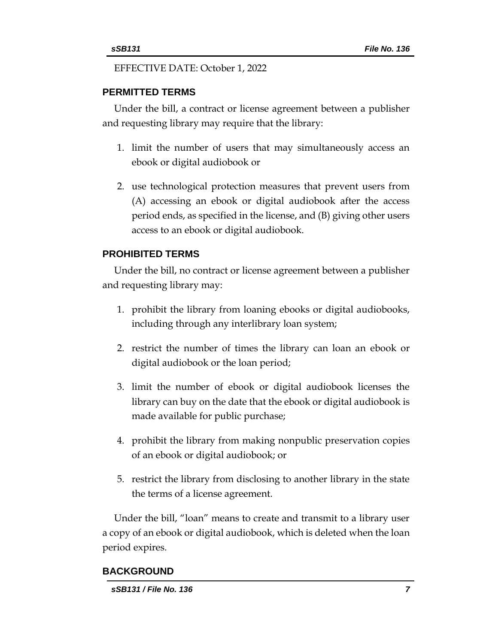EFFECTIVE DATE: October 1, 2022

## **PERMITTED TERMS**

Under the bill, a contract or license agreement between a publisher and requesting library may require that the library:

- 1. limit the number of users that may simultaneously access an ebook or digital audiobook or
- 2. use technological protection measures that prevent users from (A) accessing an ebook or digital audiobook after the access period ends, as specified in the license, and (B) giving other users access to an ebook or digital audiobook.

## **PROHIBITED TERMS**

Under the bill, no contract or license agreement between a publisher and requesting library may:

- 1. prohibit the library from loaning ebooks or digital audiobooks, including through any interlibrary loan system;
- 2. restrict the number of times the library can loan an ebook or digital audiobook or the loan period;
- 3. limit the number of ebook or digital audiobook licenses the library can buy on the date that the ebook or digital audiobook is made available for public purchase;
- 4. prohibit the library from making nonpublic preservation copies of an ebook or digital audiobook; or
- 5. restrict the library from disclosing to another library in the state the terms of a license agreement.

Under the bill, "loan" means to create and transmit to a library user a copy of an ebook or digital audiobook, which is deleted when the loan period expires.

## **BACKGROUND**